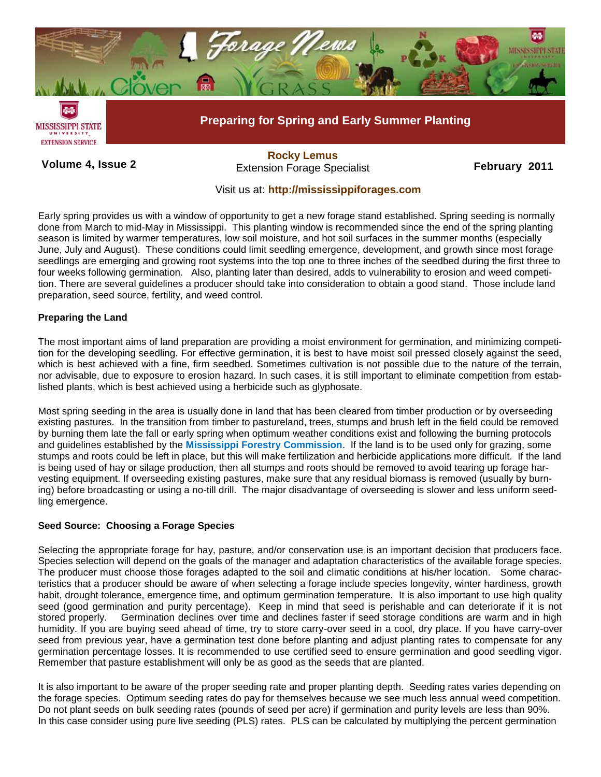

**Volume 4, Issue 2 Figure 2011** Extension Forage Specialist **February 2011 [Rocky Lemus](mailto:RLemus@ext.msstate.edu?subject=Forage%20News:%20Janaury%202011)**

# Visit us at: **<http://mississippiforages.com>**

Early spring provides us with a window of opportunity to get a new forage stand established. Spring seeding is normally done from March to mid-May in Mississippi. This planting window is recommended since the end of the spring planting season is limited by warmer temperatures, low soil moisture, and hot soil surfaces in the summer months (especially June, July and August). These conditions could limit seedling emergence, development, and growth since most forage seedlings are emerging and growing root systems into the top one to three inches of the seedbed during the first three to four weeks following germination. Also, planting later than desired, adds to vulnerability to erosion and weed competition. There are several guidelines a producer should take into consideration to obtain a good stand. Those include land preparation, seed source, fertility, and weed control.

### **Preparing the Land**

The most important aims of land preparation are providing a moist environment for germination, and minimizing competition for the developing seedling. For effective germination, it is best to have moist soil pressed closely against the seed, which is best achieved with a fine, firm seedbed. Sometimes cultivation is not possible due to the nature of the terrain, nor advisable, due to exposure to erosion hazard. In such cases, it is still important to eliminate competition from established plants, which is best achieved using a herbicide such as glyphosate.

Most spring seeding in the area is usually done in land that has been cleared from timber production or by overseeding existing pastures. In the transition from timber to pastureland, trees, stumps and brush left in the field could be removed by burning them late the fall or early spring when optimum weather conditions exist and following the burning protocols and guidelines established by the **[Mississippi Forestry Commission](http://www.mfc.ms.gov/wildfire_control.htm#Burning Permits)**. If the land is to be used only for grazing, some stumps and roots could be left in place, but this will make fertilization and herbicide applications more difficult. If the land is being used of hay or silage production, then all stumps and roots should be removed to avoid tearing up forage harvesting equipment. If overseeding existing pastures, make sure that any residual biomass is removed (usually by burning) before broadcasting or using a no-till drill. The major disadvantage of overseeding is slower and less uniform seedling emergence.

#### **Seed Source: Choosing a Forage Species**

Selecting the appropriate forage for hay, pasture, and/or conservation use is an important decision that producers face. Species selection will depend on the goals of the manager and adaptation characteristics of the available forage species. The producer must choose those forages adapted to the soil and climatic conditions at his/her location. Some characteristics that a producer should be aware of when selecting a forage include species longevity, winter hardiness, growth habit, drought tolerance, emergence time, and optimum germination temperature. It is also important to use high quality seed (good germination and purity percentage). Keep in mind that seed is perishable and can deteriorate if it is not stored properly. Germination declines over time and declines faster if seed storage conditions are warm and in high humidity. If you are buying seed ahead of time, try to store carry-over seed in a cool, dry place. If you have carry-over seed from previous year, have a germination test done before planting and adjust planting rates to compensate for any germination percentage losses. It is recommended to use certified seed to ensure germination and good seedling vigor. Remember that pasture establishment will only be as good as the seeds that are planted.

It is also important to be aware of the proper seeding rate and proper planting depth. Seeding rates varies depending on the forage species. Optimum seeding rates do pay for themselves because we see much less annual weed competition. Do not plant seeds on bulk seeding rates (pounds of seed per acre) if germination and purity levels are less than 90%. In this case consider using pure live seeding (PLS) rates. PLS can be calculated by multiplying the percent germination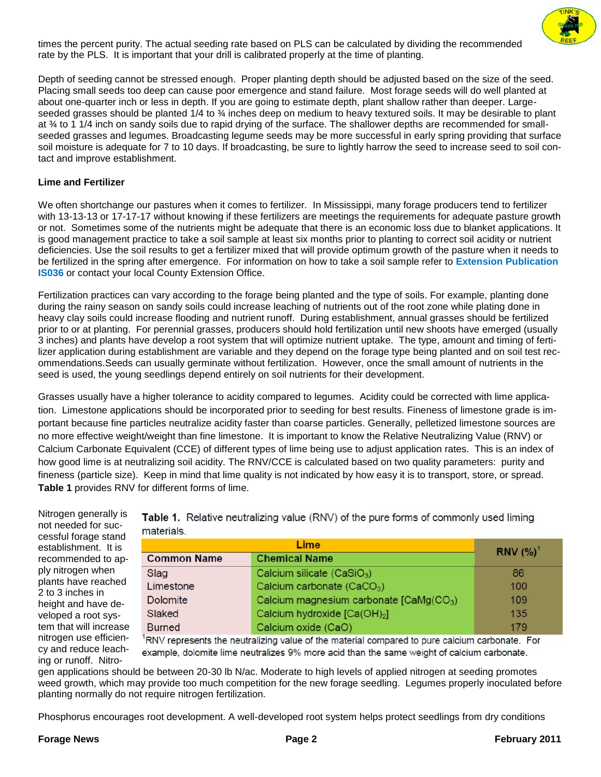

times the percent purity. The actual seeding rate based on PLS can be calculated by dividing the recommended rate by the PLS. It is important that your drill is calibrated properly at the time of planting.

Depth of seeding cannot be stressed enough. Proper planting depth should be adjusted based on the size of the seed. Placing small seeds too deep can cause poor emergence and stand failure. Most forage seeds will do well planted at about one-quarter inch or less in depth. If you are going to estimate depth, plant shallow rather than deeper. Largeseeded grasses should be planted  $1/4$  to  $\frac{3}{4}$  inches deep on medium to heavy textured soils. It may be desirable to plant at ¾ to 1 1/4 inch on sandy soils due to rapid drying of the surface. The shallower depths are recommended for smallseeded grasses and legumes. Broadcasting legume seeds may be more successful in early spring providing that surface soil moisture is adequate for 7 to 10 days. If broadcasting, be sure to lightly harrow the seed to increase seed to soil contact and improve establishment.

#### **Lime and Fertilizer**

We often shortchange our pastures when it comes to fertilizer. In Mississippi, many forage producers tend to fertilizer with 13-13-13 or 17-17-17 without knowing if these fertilizers are meetings the requirements for adequate pasture growth or not. Sometimes some of the nutrients might be adequate that there is an economic loss due to blanket applications. It is good management practice to take a soil sample at least six months prior to planting to correct soil acidity or nutrient deficiencies. Use the soil results to get a fertilizer mixed that will provide optimum growth of the pasture when it needs to be fertilized in the spring after emergence. For information on how to take a soil sample refer to **[Extension Publication](http://msucares.com/pubs/infosheets/is0346.pdf)  [IS036](http://msucares.com/pubs/infosheets/is0346.pdf)** or contact your local County Extension Office.

Fertilization practices can vary according to the forage being planted and the type of soils. For example, planting done during the rainy season on sandy soils could increase leaching of nutrients out of the root zone while plating done in heavy clay soils could increase flooding and nutrient runoff. During establishment, annual grasses should be fertilized prior to or at planting. For perennial grasses, producers should hold fertilization until new shoots have emerged (usually 3 inches) and plants have develop a root system that will optimize nutrient uptake. The type, amount and timing of fertilizer application during establishment are variable and they depend on the forage type being planted and on soil test recommendations.Seeds can usually germinate without fertilization. However, once the small amount of nutrients in the seed is used, the young seedlings depend entirely on soil nutrients for their development.

Grasses usually have a higher tolerance to acidity compared to legumes. Acidity could be corrected with lime application. Limestone applications should be incorporated prior to seeding for best results. Fineness of limestone grade is important because fine particles neutralize acidity faster than coarse particles. Generally, pelletized limestone sources are no more effective weight/weight than fine limestone. It is important to know the Relative Neutralizing Value (RNV) or Calcium Carbonate Equivalent (CCE) of different types of lime being use to adjust application rates. This is an index of how good lime is at neutralizing soil acidity. The RNV/CCE is calculated based on two quality parameters: purity and fineness (particle size). Keep in mind that lime quality is not indicated by how easy it is to transport, store, or spread. **Table 1** provides RNV for different forms of lime.

Nitrogen generally is not needed for successful forage stand establishment. It is recommended to apply nitrogen when plants have reached 2 to 3 inches in height and have developed a root system that will increase nitrogen use efficiency and reduce leaching or runoff. Nitro-

Table 1. Relative neutralizing value (RNV) of the pure forms of commonly used liming materials.

| Lime               |                                                     | RNV (%) <sup>1</sup> |
|--------------------|-----------------------------------------------------|----------------------|
| <b>Common Name</b> | <b>Chemical Name</b>                                |                      |
| Slag               | Calcium silicate $(CaSiO3)$                         | 86                   |
| Limestone          | Calcium carbonate (CaCO <sub>3</sub> )              | 100                  |
| <b>Dolomite</b>    | Calcium magnesium carbonate [CaMg(CO <sub>3</sub> ) | 109                  |
| Slaked             | Calcium hydroxide [Ca(OH)2]                         | 135                  |
| <b>Burned</b>      | Calcium oxide (CaO)                                 | 179                  |

RNV represents the neutralizing value of the material compared to pure calcium carbonate. For example, dolomite lime neutralizes 9% more acid than the same weight of calcium carbonate.

gen applications should be between 20-30 lb N/ac. Moderate to high levels of applied nitrogen at seeding promotes weed growth, which may provide too much competition for the new forage seedling. Legumes properly inoculated before planting normally do not require nitrogen fertilization.

Phosphorus encourages root development. A well-developed root system helps protect seedlings from dry conditions